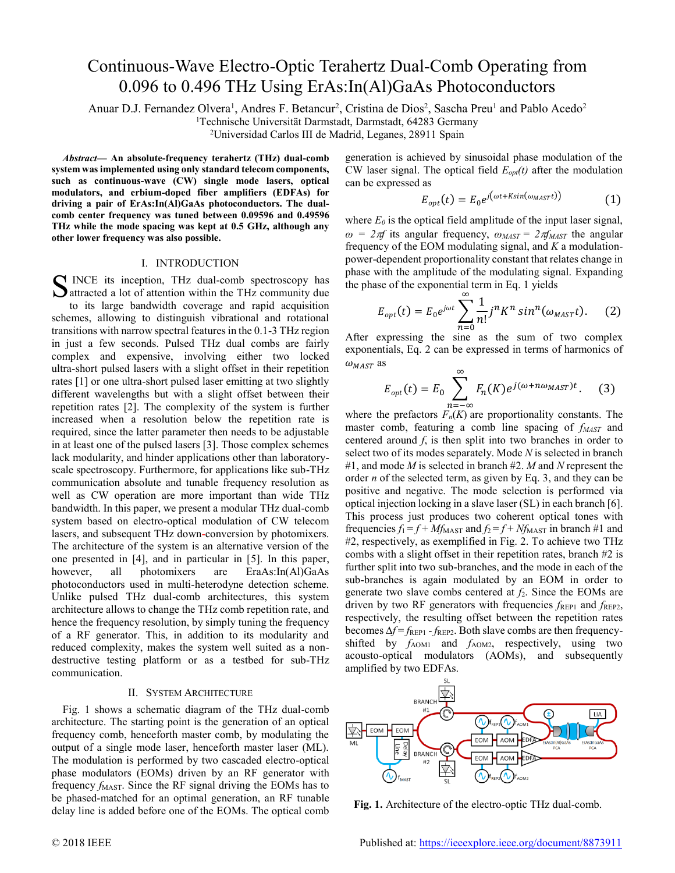# Continuous-Wave Electro-Optic Terahertz Dual-Comb Operating from 0.096 to 0.496 THz Using ErAs:In(Al)GaAs Photoconductors

Anuar D.J. Fernandez Olvera<sup>1</sup>, Andres F. Betancur<sup>2</sup>, Cristina de Dios<sup>2</sup>, Sascha Preu<sup>1</sup> and Pablo Acedo<sup>2</sup>

<sup>1</sup>Technische Universität Darmstadt, Darmstadt, 64283 Germany

<sup>2</sup>Universidad Carlos III de Madrid, Leganes, 28911 Spain

*Abstract***— An absolute-frequency terahertz (THz) dual-comb system was implemented using only standard telecom components, such as continuous-wave (CW) single mode lasers, optical modulators, and erbium-doped fiber amplifiers (EDFAs) for driving a pair of ErAs:In(Al)GaAs photoconductors. The dualcomb center frequency was tuned between 0.09596 and 0.49596 THz while the mode spacing was kept at 0.5 GHz, although any other lower frequency was also possible.**

### I. INTRODUCTION

INCE its inception, THz dual-comb spectroscopy has S INCE its inception, THz dual-comb spectroscopy has attracted a lot of attention within the THz community due to its large bandwidth coverage and rapid acquisition schemes, allowing to distinguish vibrational and rotational transitions with narrow spectral features in the 0.1-3 THz region in just a few seconds. Pulsed THz dual combs are fairly complex and expensive, involving either two locked ultra-short pulsed lasers with a slight offset in their repetition rates [1] or one ultra-short pulsed laser emitting at two slightly different wavelengths but with a slight offset between their repetition rates [2]. The complexity of the system is further increased when a resolution below the repetition rate is required, since the latter parameter then needs to be adjustable in at least one of the pulsed lasers [3]. Those complex schemes lack modularity, and hinder applications other than laboratoryscale spectroscopy. Furthermore, for applications like sub-THz communication absolute and tunable frequency resolution as well as CW operation are more important than wide THz bandwidth. In this paper, we present a modular THz dual-comb system based on electro-optical modulation of CW telecom lasers, and subsequent THz down-conversion by photomixers. The architecture of the system is an alternative version of the one presented in [4], and in particular in [5]. In this paper, however, all photomixers are EraAs:In(Al)GaAs photoconductors used in multi-heterodyne detection scheme. Unlike pulsed THz dual-comb architectures, this system architecture allows to change the THz comb repetition rate, and hence the frequency resolution, by simply tuning the frequency of a RF generator. This, in addition to its modularity and reduced complexity, makes the system well suited as a nondestructive testing platform or as a testbed for sub-THz communication.

# II. SYSTEM ARCHITECTURE

Fig. 1 shows a schematic diagram of the THz dual-comb architecture. The starting point is the generation of an optical frequency comb, henceforth master comb, by modulating the output of a single mode laser, henceforth master laser (ML). The modulation is performed by two cascaded electro-optical phase modulators (EOMs) driven by an RF generator with frequency *f*<sub>MAST</sub>. Since the RF signal driving the EOMs has to be phased-matched for an optimal generation, an RF tunable delay line is added before one of the EOMs. The optical comb

generation is achieved by sinusoidal phase modulation of the CW laser signal. The optical field  $E_{opt}(t)$  after the modulation can be expressed as

$$
E_{opt}(t) = E_0 e^{j\left(\omega t + K \sin(\omega_{MAST}t)\right)} \tag{1}
$$

where  $E_0$  is the optical field amplitude of the input laser signal, *ω* =  $2πf$  its angular frequency,  $ω<sub>MAST</sub> = 2πf<sub>MAST</sub>$  the angular frequency of the EOM modulating signal, and *K* a modulationpower-dependent proportionality constant that relates change in phase with the amplitude of the modulating signal. Expanding the phase of the exponential term in Eq. 1 yields

$$
E_{opt}(t) = E_0 e^{j\omega t} \sum_{n=0}^{\infty} \frac{1}{n!} j^n K^n \sin^n(\omega_{MAST} t). \tag{2}
$$

After expressing the sine as the sum of two complex exponentials, Eq. 2 can be expressed in terms of harmonics of  $\omega_{MAST}$  as

$$
E_{opt}(t) = E_0 \sum_{n=-\infty}^{\infty} F_n(K) e^{j(\omega + n\omega_{MAST})t}.
$$
 (3)

where the prefactors  $F_n(K)$  are proportionality constants. The master comb, featuring a comb line spacing of *fMAST* and centered around *f*, is then split into two branches in order to select two of its modes separately. Mode *N* is selected in branch #1, and mode *M* is selected in branch #2. *M* and *N* represent the order *n* of the selected term, as given by Eq. 3, and they can be positive and negative. The mode selection is performed via optical injection locking in a slave laser (SL) in each branch [6]. This process just produces two coherent optical tones with frequencies  $f_1 = f + Mf_{\text{MAST}}$  and  $f_2 = f + Nf_{\text{MAST}}$  in branch #1 and #2, respectively, as exemplified in Fig. 2. To achieve two THz combs with a slight offset in their repetition rates, branch #2 is further split into two sub-branches, and the mode in each of the sub-branches is again modulated by an EOM in order to generate two slave combs centered at *f*2. Since the EOMs are driven by two RF generators with frequencies  $f_{\text{REP1}}$  and  $f_{\text{REP2}}$ , respectively, the resulting offset between the repetition rates becomes Δ*f* = *f*<sub>REP1</sub> - *f*<sub>REP2</sub>. Both slave combs are then frequencyshifted by  $f_{AOM1}$  and  $f_{AOM2}$ , respectively, using two acousto-optical modulators (AOMs), and subsequently amplified by two EDFAs.



**Fig. 1.** Architecture of the electro-optic THz dual-comb.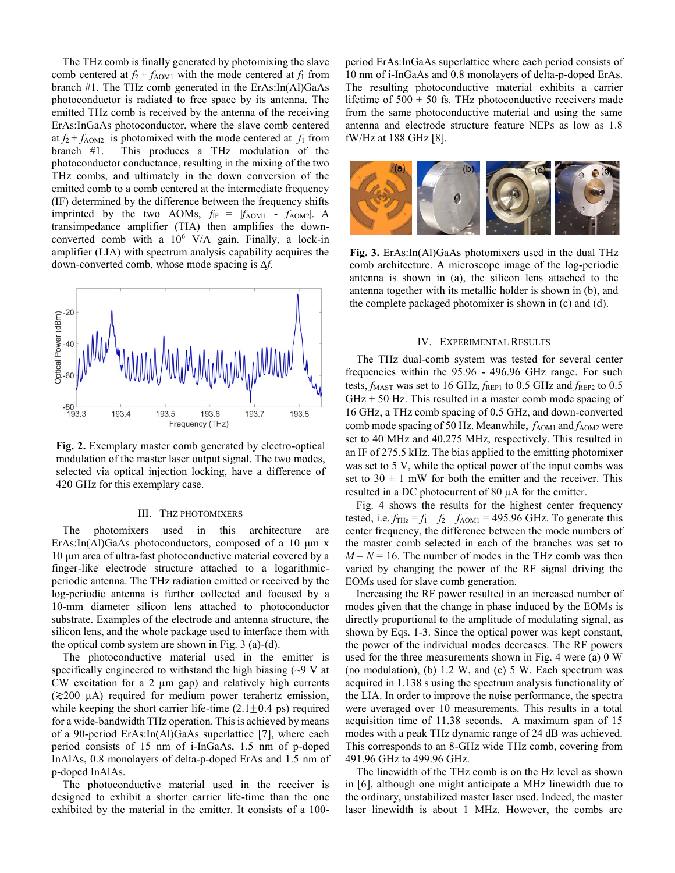The THz comb is finally generated by photomixing the slave comb centered at  $f_2 + f_{AOM1}$  with the mode centered at  $f_1$  from branch #1. The THz comb generated in the ErAs:In(Al)GaAs photoconductor is radiated to free space by its antenna. The emitted THz comb is received by the antenna of the receiving ErAs:InGaAs photoconductor, where the slave comb centered at  $f_2 + f_{AOM2}$  is photomixed with the mode centered at  $f_1$  from branch #1. This produces a THz modulation of the photoconductor conductance, resulting in the mixing of the two THz combs, and ultimately in the down conversion of the emitted comb to a comb centered at the intermediate frequency (IF) determined by the difference between the frequency shifts imprinted by the two AOMs,  $f_{IF} = |f_{AOM1} - f_{AOM2}|$ . A transimpedance amplifier (TIA) then amplifies the downconverted comb with a  $10^6$  V/A gain. Finally, a lock-in amplifier (LIA) with spectrum analysis capability acquires the down-converted comb, whose mode spacing is ∆*f*.



**Fig. 2.** Exemplary master comb generated by electro-optical modulation of the master laser output signal. The two modes, selected via optical injection locking, have a difference of 420 GHz for this exemplary case.

#### III. THZ PHOTOMIXERS

The photomixers used in this architecture are ErAs:In(Al)GaAs photoconductors, composed of a 10 μm x 10 μm area of ultra-fast photoconductive material covered by a finger-like electrode structure attached to a logarithmicperiodic antenna. The THz radiation emitted or received by the log-periodic antenna is further collected and focused by a 10-mm diameter silicon lens attached to photoconductor substrate. Examples of the electrode and antenna structure, the silicon lens, and the whole package used to interface them with the optical comb system are shown in Fig. 3 (a)-(d).

The photoconductive material used in the emitter is specifically engineered to withstand the high biasing  $(\sim 9 \text{ V at})$ CW excitation for a 2  $\mu$ m gap) and relatively high currents (≳200 µA) required for medium power terahertz emission, while keeping the short carrier life-time  $(2.1 \pm 0.4 \text{ ps})$  required for a wide-bandwidth THz operation. This is achieved by means of a 90-period ErAs:In(Al)GaAs superlattice [7], where each period consists of 15 nm of i-InGaAs, 1.5 nm of p-doped InAlAs, 0.8 monolayers of delta-p-doped ErAs and 1.5 nm of p-doped InAlAs.

The photoconductive material used in the receiver is designed to exhibit a shorter carrier life-time than the one exhibited by the material in the emitter. It consists of a 100period ErAs:InGaAs superlattice where each period consists of 10 nm of i-InGaAs and 0.8 monolayers of delta-p-doped ErAs. The resulting photoconductive material exhibits a carrier lifetime of  $500 \pm 50$  fs. THz photoconductive receivers made from the same photoconductive material and using the same antenna and electrode structure feature NEPs as low as 1.8 fW/Hz at 188 GHz [8].



**Fig. 3.** ErAs:In(Al)GaAs photomixers used in the dual THz comb architecture. A microscope image of the log-periodic antenna is shown in (a), the silicon lens attached to the antenna together with its metallic holder is shown in (b), and the complete packaged photomixer is shown in (c) and (d).

### IV. EXPERIMENTAL RESULTS

The THz dual-comb system was tested for several center frequencies within the 95.96 - 496.96 GHz range. For such tests,  $f_{\text{MAST}}$  was set to 16 GHz,  $f_{\text{REP1}}$  to 0.5 GHz and  $f_{\text{REP2}}$  to 0.5  $GHz + 50$  Hz. This resulted in a master comb mode spacing of 16 GHz, a THz comb spacing of 0.5 GHz, and down-converted comb mode spacing of 50 Hz. Meanwhile,  $f_{AOM1}$  and  $f_{AOM2}$  were set to 40 MHz and 40.275 MHz, respectively. This resulted in an IF of 275.5 kHz. The bias applied to the emitting photomixer was set to 5 V, while the optical power of the input combs was set to  $30 \pm 1$  mW for both the emitter and the receiver. This resulted in a DC photocurrent of 80 µA for the emitter.

Fig. 4 shows the results for the highest center frequency tested, i.e.  $f_{\text{THz}} = f_1 - f_2 - f_{\text{AOM1}} = 495.96 \text{ GHz}$ . To generate this center frequency, the difference between the mode numbers of the master comb selected in each of the branches was set to  $M - N = 16$ . The number of modes in the THz comb was then varied by changing the power of the RF signal driving the EOMs used for slave comb generation.

Increasing the RF power resulted in an increased number of modes given that the change in phase induced by the EOMs is directly proportional to the amplitude of modulating signal, as shown by Eqs. 1-3. Since the optical power was kept constant, the power of the individual modes decreases. The RF powers used for the three measurements shown in Fig. 4 were (a) 0 W (no modulation), (b) 1.2 W, and (c) 5 W. Each spectrum was acquired in 1.138 s using the spectrum analysis functionality of the LIA. In order to improve the noise performance, the spectra were averaged over 10 measurements. This results in a total acquisition time of 11.38 seconds. A maximum span of 15 modes with a peak THz dynamic range of 24 dB was achieved. This corresponds to an 8-GHz wide THz comb, covering from 491.96 GHz to 499.96 GHz.

The linewidth of the THz comb is on the Hz level as shown in [6], although one might anticipate a MHz linewidth due to the ordinary, unstabilized master laser used. Indeed, the master laser linewidth is about 1 MHz. However, the combs are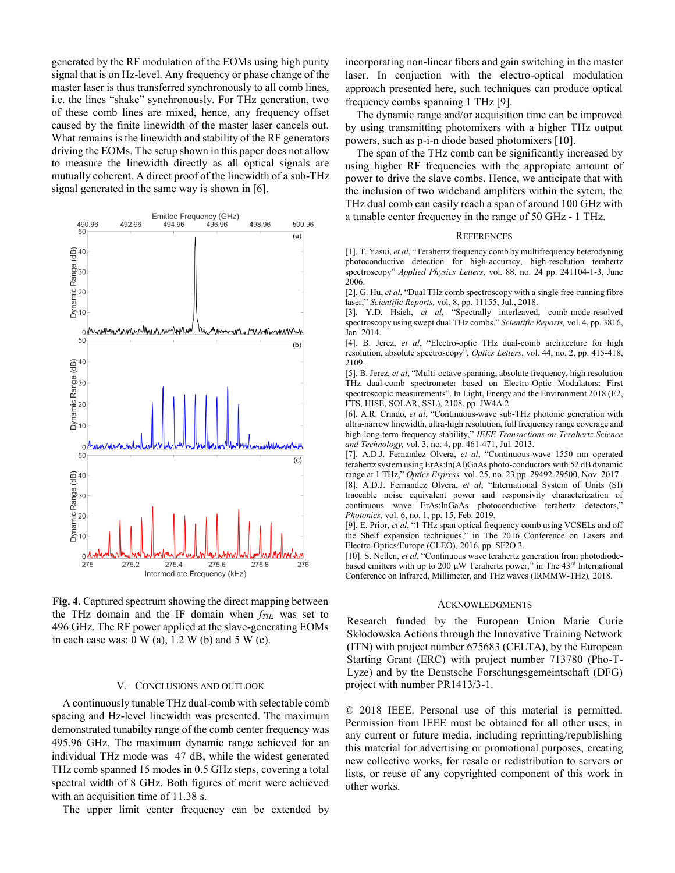generated by the RF modulation of the EOMs using high purity signal that is on Hz-level. Any frequency or phase change of the master laser is thus transferred synchronously to all comb lines, i.e. the lines "shake" synchronously. For THz generation, two of these comb lines are mixed, hence, any frequency offset caused by the finite linewidth of the master laser cancels out. What remains is the linewidth and stability of the RF generators driving the EOMs. The setup shown in this paper does not allow to measure the linewidth directly as all optical signals are mutually coherent. A direct proof of the linewidth of a sub-THz signal generated in the same way is shown in [6].



**Fig. 4.** Captured spectrum showing the direct mapping between the THz domain and the IF domain when *fTHz* was set to 496 GHz. The RF power applied at the slave-generating EOMs in each case was:  $0 \text{ W (a)}$ ,  $1.2 \text{ W (b)}$  and  $5 \text{ W (c)}$ .

## V. CONCLUSIONS AND OUTLOOK

A continuously tunable THz dual-comb with selectable comb spacing and Hz-level linewidth was presented. The maximum demonstrated tunabilty range of the comb center frequency was 495.96 GHz. The maximum dynamic range achieved for an individual THz mode was 47 dB, while the widest generated THz comb spanned 15 modes in 0.5 GHz steps, covering a total spectral width of 8 GHz. Both figures of merit were achieved with an acquisition time of 11.38 s.

The upper limit center frequency can be extended by

incorporating non-linear fibers and gain switching in the master laser. In conjuction with the electro-optical modulation approach presented here, such techniques can produce optical frequency combs spanning 1 THz [9].

The dynamic range and/or acquisition time can be improved by using transmitting photomixers with a higher THz output powers, such as p-i-n diode based photomixers [10].

The span of the THz comb can be significantly increased by using higher RF frequencies with the appropiate amount of power to drive the slave combs. Hence, we anticipate that with the inclusion of two wideband amplifers within the sytem, the THz dual comb can easily reach a span of around 100 GHz with a tunable center frequency in the range of 50 GHz - 1 THz.

### **REFERENCES**

[1]. T. Yasui, *et al*, "Terahertz frequency comb by multifrequency heterodyning photoconductive detection for high-accuracy, high-resolution terahertz spectroscopy" *Applied Physics Letters,* vol. 88, no. 24 pp. 241104-1-3, June 2006.

[2]. G. Hu, *et al*, "Dual THz comb spectroscopy with a single free-running fibre laser," *Scientific Reports,* vol. 8, pp. 11155, Jul., 2018.

[3]. Y.D. Hsieh, *et al*, "Spectrally interleaved, comb-mode-resolved spectroscopy using swept dual THz combs." *Scientific Reports,* vol. 4, pp. 3816, Jan. 2014.

[4]. B. Jerez, *et al*, "Electro-optic THz dual-comb architecture for high resolution, absolute spectroscopy", *Optics Letters*, vol. 44, no. 2, pp. 415-418, 2109.

[5]. B. Jerez, *et al*, "Multi-octave spanning, absolute frequency, high resolution THz dual-comb spectrometer based on Electro-Optic Modulators: First spectroscopic measurements". In Light, Energy and the Environment 2018 (E2, FTS, HISE, SOLAR, SSL), 2108, pp. JW4A.2.

[6]. A.R. Criado, *et al*, "Continuous-wave sub-THz photonic generation with ultra-narrow linewidth, ultra-high resolution, full frequency range coverage and high long-term frequency stability," *IEEE Transactions on Terahertz Science and Technology,* vol. 3, no. 4, pp. 461-471, Jul. 2013.

[7]. A.D.J. Fernandez Olvera, *et al*, "Continuous-wave 1550 nm operated terahertz system using ErAs:In(Al)GaAs photo-conductors with 52 dB dynamic range at 1 THz," *Optics Express,* vol. 25, no. 23 pp. 29492-29500, Nov. 2017. [8]. A.D.J. Fernandez Olvera, *et al*, "International System of Units (SI) traceable noise equivalent power and responsivity characterization of continuous wave ErAs:InGaAs photoconductive terahertz detectors," *Photonics,* vol. 6, no. 1, pp. 15, Feb. 2019.

[9]. E. Prior, *et al*, "1 THz span optical frequency comb using VCSELs and off the Shelf expansion techniques," in The 2016 Conference on Lasers and Electro-Optics/Europe (CLEO)*,* 2016, pp. SF2O.3.

[10]. S. Nellen, *et al*, "Continuous wave terahertz generation from photodiodebased emitters with up to 200  $\mu$ W Terahertz power," in The 43<sup>rd</sup> International Conference on Infrared, Millimeter, and THz waves (IRMMW-THz)*,* 2018.

#### ACKNOWLEDGMENTS

Research funded by the European Union Marie Curie Skłodowska Actions through the Innovative Training Network (ITN) with project number 675683 (CELTA), by the European Starting Grant (ERC) with project number 713780 (Pho-T-Lyze) and by the Deustsche Forschungsgemeintschaft (DFG) project with number PR1413/3-1.

© 2018 IEEE. Personal use of this material is permitted. Permission from IEEE must be obtained for all other uses, in any current or future media, including reprinting/republishing this material for advertising or promotional purposes, creating new collective works, for resale or redistribution to servers or lists, or reuse of any copyrighted component of this work in other works.